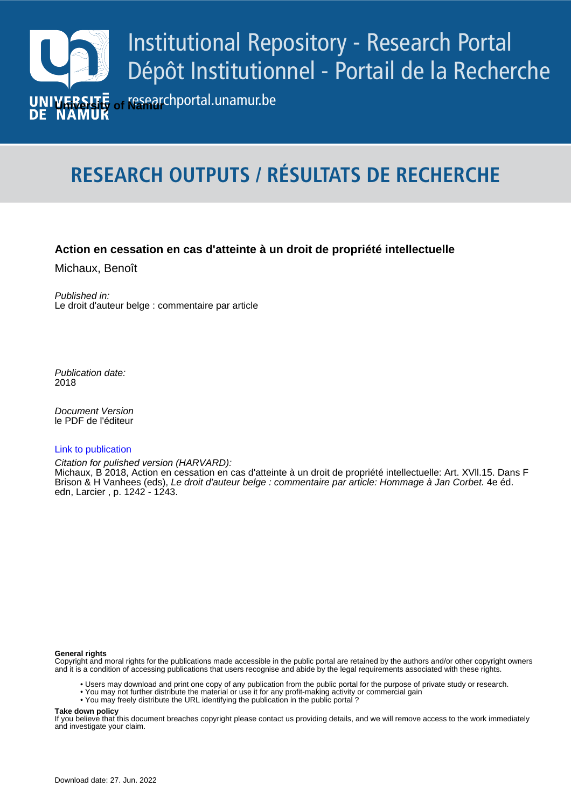

# **RESEARCH OUTPUTS / RÉSULTATS DE RECHERCHE**

# **Action en cessation en cas d'atteinte à un droit de propriété intellectuelle**

Michaux, Benoît

Published in: Le droit d'auteur belge : commentaire par article

Publication date: 2018

*Pocument version*<br>le PDF de l'éditeur Document Version

## [Link to publication](https://researchportal.unamur.be/fr/publications/9b8afac9-9190-4e63-b9b2-62d66fa0fe97)

Citation for pulished version (HARVARD):

Brison & H Vanhees (eds), *Le droit d'auteur belge : commentaire par article: Hommage à Jan Corbet. 4*e éd. Michaux, B 2018, Action en cessation en cas d'atteinte à un droit de propriété intellectuelle: Art. XVll.15. Dans F edn, Larcier , p. 1242 - 1243.

## **General rights**

Copyright and moral rights for the publications made accessible in the public portal are retained by the authors and/or other copyright owners and it is a condition of accessing publications that users recognise and abide by the legal requirements associated with these rights.

- Users may download and print one copy of any publication from the public portal for the purpose of private study or research.
- You may not further distribute the material or use it for any profit-making activity or commercial gain
- You may freely distribute the URL identifying the publication in the public portal ?

## **Take down policy**

If you believe that this document breaches copyright please contact us providing details, and we will remove access to the work immediately and investigate your claim.